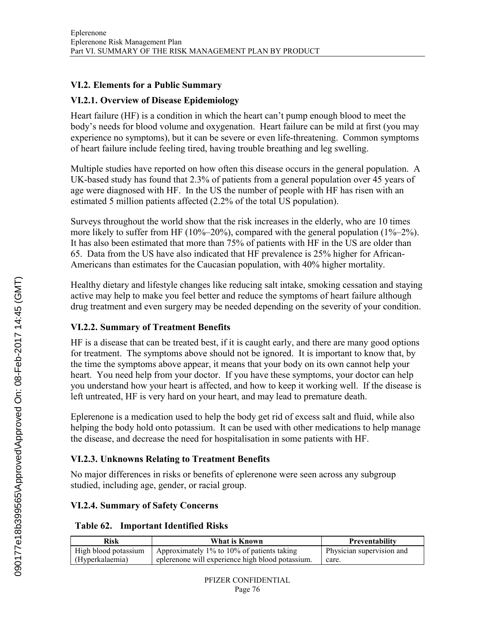#### **VI.2. Elements for a Public Summary**

### **VI.2.1. Overview of Disease Epidemiology**

Heart failure (HF) is a condition in which the heart can't pump enough blood to meet the body's needs for blood volume and oxygenation. Heart failure can be mild at first (you may experience no symptoms), but it can be severe or even life-threatening. Common symptoms of heart failure include feeling tired, having trouble breathing and leg swelling.

Multiple studies have reported on how often this disease occurs in the general population. A UK-based study has found that 2.3% of patients from a general population over 45 years of age were diagnosed with HF. In the US the number of people with HF has risen with an estimated 5 million patients affected (2.2% of the total US population).

Surveys throughout the world show that the risk increases in the elderly, who are 10 times more likely to suffer from HF (10%–20%), compared with the general population (1%–2%). It has also been estimated that more than 75% of patients with HF in the US are older than 65. Data from the US have also indicated that HF prevalence is 25% higher for African-Americans than estimates for the Caucasian population, with 40% higher mortality.

Healthy dietary and lifestyle changes like reducing salt intake, smoking cessation and staying active may help to make you feel better and reduce the symptoms of heart failure although drug treatment and even surgery may be needed depending on the severity of your condition.

# **VI.2.2. Summary of Treatment Benefits**

HF is a disease that can be treated best, if it is caught early, and there are many good options for treatment. The symptoms above should not be ignored. It is important to know that, by the time the symptoms above appear, it means that your body on its own cannot help your heart. You need help from your doctor. If you have these symptoms, your doctor can help you understand how your heart is affected, and how to keep it working well. If the disease is left untreated, HF is very hard on your heart, and may lead to premature death.

Eplerenone is a medication used to help the body get rid of excess salt and fluid, while also helping the body hold onto potassium. It can be used with other medications to help manage the disease, and decrease the need for hospitalisation in some patients with HF.

# **VI.2.3. Unknowns Relating to Treatment Benefits**

No major differences in risks or benefits of eplerenone were seen across any subgroup studied, including age, gender, or racial group.

# **VI.2.4. Summary of Safety Concerns**

#### **Table 62. Important Identified Risks**

| Risk                 | What is Known                                    | <b>Preventability</b>     |
|----------------------|--------------------------------------------------|---------------------------|
| High blood potassium | Approximately 1% to 10% of patients taking       | Physician supervision and |
| (Hyperkalaemia)      | eplerenone will experience high blood potassium. | care.                     |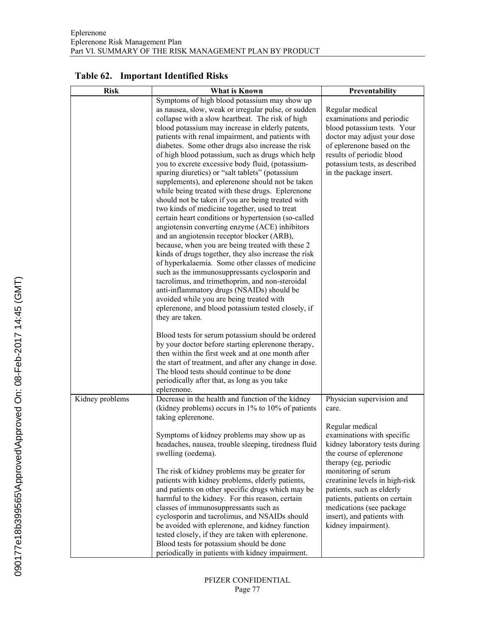# **Table 62. Important Identified Risks**

| <b>Risk</b>     | What is Known                                                                                      | Preventability                                |
|-----------------|----------------------------------------------------------------------------------------------------|-----------------------------------------------|
|                 | Symptoms of high blood potassium may show up                                                       |                                               |
|                 | as nausea, slow, weak or irregular pulse, or sudden                                                | Regular medical                               |
|                 | collapse with a slow heartbeat. The risk of high                                                   | examinations and periodic                     |
|                 | blood potassium may increase in elderly patents,                                                   | blood potassium tests. Your                   |
|                 | patients with renal impairment, and patients with                                                  | doctor may adjust your dose                   |
|                 | diabetes. Some other drugs also increase the risk                                                  | of eplerenone based on the                    |
|                 | of high blood potassium, such as drugs which help                                                  | results of periodic blood                     |
|                 | you to excrete excessive body fluid, (potassium-                                                   | potassium tests, as described                 |
|                 | sparing diuretics) or "salt tablets" (potassium                                                    | in the package insert.                        |
|                 | supplements), and eplerenone should not be taken                                                   |                                               |
|                 | while being treated with these drugs. Eplerenone                                                   |                                               |
|                 | should not be taken if you are being treated with                                                  |                                               |
|                 | two kinds of medicine together, used to treat                                                      |                                               |
|                 | certain heart conditions or hypertension (so-called                                                |                                               |
|                 | angiotensin converting enzyme (ACE) inhibitors<br>and an angiotensin receptor blocker (ARB),       |                                               |
|                 | because, when you are being treated with these 2                                                   |                                               |
|                 | kinds of drugs together, they also increase the risk                                               |                                               |
|                 | of hyperkalaemia. Some other classes of medicine                                                   |                                               |
|                 | such as the immunosuppressants cyclosporin and                                                     |                                               |
|                 | tacrolimus, and trimethoprim, and non-steroidal                                                    |                                               |
|                 | anti-inflammatory drugs (NSAIDs) should be                                                         |                                               |
|                 | avoided while you are being treated with                                                           |                                               |
|                 | eplerenone, and blood potassium tested closely, if                                                 |                                               |
|                 | they are taken.                                                                                    |                                               |
|                 | Blood tests for serum potassium should be ordered                                                  |                                               |
|                 | by your doctor before starting eplerenone therapy,                                                 |                                               |
|                 | then within the first week and at one month after                                                  |                                               |
|                 | the start of treatment, and after any change in dose.                                              |                                               |
|                 | The blood tests should continue to be done                                                         |                                               |
|                 | periodically after that, as long as you take                                                       |                                               |
|                 | eplerenone.                                                                                        |                                               |
| Kidney problems | Decrease in the health and function of the kidney                                                  | Physician supervision and                     |
|                 | (kidney problems) occurs in $1\%$ to $10\%$ of patients                                            | care.                                         |
|                 | taking eplerenone.                                                                                 |                                               |
|                 |                                                                                                    | Regular medical<br>examinations with specific |
|                 | Symptoms of kidney problems may show up as<br>headaches, nausea, trouble sleeping, tiredness fluid | kidney laboratory tests during                |
|                 | swelling (oedema).                                                                                 | the course of eplerenone                      |
|                 |                                                                                                    | therapy (eg, periodic                         |
|                 | The risk of kidney problems may be greater for                                                     | monitoring of serum                           |
|                 | patients with kidney problems, elderly patients,                                                   | creatinine levels in high-risk                |
|                 | and patients on other specific drugs which may be                                                  | patients, such as elderly                     |
|                 | harmful to the kidney. For this reason, certain                                                    | patients, patients on certain                 |
|                 | classes of immunosuppressants such as                                                              | medications (see package                      |
|                 | cyclosporin and tacrolimus, and NSAIDs should                                                      | insert), and patients with                    |
|                 | be avoided with eplerenone, and kidney function                                                    | kidney impairment).                           |
|                 | tested closely, if they are taken with eplerenone.                                                 |                                               |
|                 | Blood tests for potassium should be done                                                           |                                               |
|                 | periodically in patients with kidney impairment.                                                   |                                               |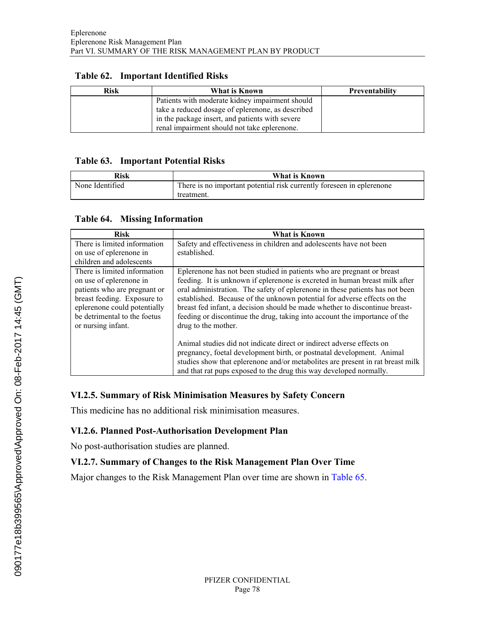| <b>Risk</b> | What is Known                                     | <b>Preventability</b> |
|-------------|---------------------------------------------------|-----------------------|
|             | Patients with moderate kidney impairment should   |                       |
|             | take a reduced dosage of eplerenone, as described |                       |
|             | in the package insert, and patients with severe   |                       |
|             | renal impairment should not take eplerenone.      |                       |

### **Table 62. Important Identified Risks**

#### **Table 63. Important Potential Risks**

| Risk            | What is Known                                                         |  |
|-----------------|-----------------------------------------------------------------------|--|
| None Identified | There is no important potential risk currently foreseen in eplerenone |  |
|                 | treatment.                                                            |  |

#### **Table 64. Missing Information**

| <b>Risk</b>                  | What is Known                                                                  |
|------------------------------|--------------------------------------------------------------------------------|
| There is limited information | Safety and effectiveness in children and adolescents have not been             |
| on use of eplerenone in      | established.                                                                   |
| children and adolescents     |                                                                                |
| There is limited information | Eplerenone has not been studied in patients who are pregnant or breast         |
| on use of eplerenone in      | feeding. It is unknown if eplerenone is excreted in human breast milk after    |
| patients who are pregnant or | oral administration. The safety of eplerenone in these patients has not been   |
| breast feeding. Exposure to  | established. Because of the unknown potential for adverse effects on the       |
| eplerenone could potentially | breast fed infant, a decision should be made whether to discontinue breast-    |
| be detrimental to the foetus | feeding or discontinue the drug, taking into account the importance of the     |
| or nursing infant.           | drug to the mother.                                                            |
|                              |                                                                                |
|                              | Animal studies did not indicate direct or indirect adverse effects on          |
|                              | pregnancy, foetal development birth, or postnatal development. Animal          |
|                              | studies show that eplerenone and/or metabolites are present in rat breast milk |
|                              | and that rat pups exposed to the drug this way developed normally.             |

# **VI.2.5. Summary of Risk Minimisation Measures by Safety Concern**

This medicine has no additional risk minimisation measures.

#### **VI.2.6. Planned Post-Authorisation Development Plan**

No post-authorisation studies are planned.

#### **VI.2.7. Summary of Changes to the Risk Management Plan Over Time**

Major changes to the Risk Management Plan over time are shown in [Table](#page-3-0) 65.